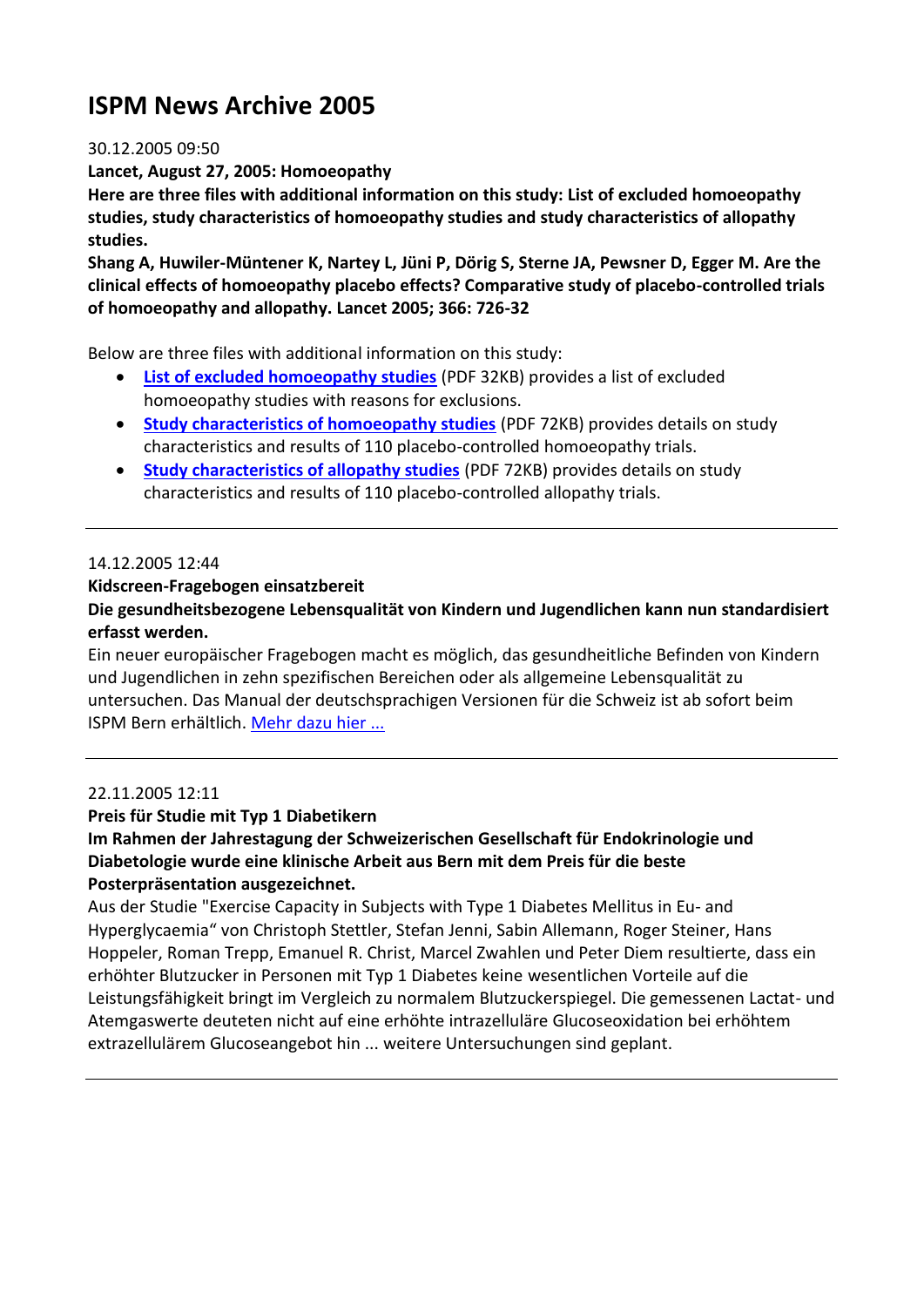# **ISPM News Archive 2005**

#### 30.12.2005 09:50

**Lancet, August 27, 2005: Homoeopathy**

**Here are three files with additional information on this study: List of excluded homoeopathy studies, study characteristics of homoeopathy studies and study characteristics of allopathy studies.**

**Shang A, Huwiler-Müntener K, Nartey L, Jüni P, Dörig S, Sterne JA, Pewsner D, Egger M. Are the clinical effects of homoeopathy placebo effects? Comparative study of placebo-controlled trials of homoeopathy and allopathy. Lancet 2005; 366: 726-32**

Below are three files with additional information on this study:

- **[List o](http://staging.ispm.ch/fileadmin/doc_download/1435.List_of_excluded_homoeopathy_studies.pdf)f [excluded homoeopathy studies](http://staging.ispm.ch/fileadmin/doc_download/1435.List_of_excluded_homoeopathy_studies.pdf)** (PDF 32KB) provides a list of excluded homoeopathy studies with reasons for exclusions.
- **[Study characteristics of homoeopathy studies](http://staging.ispm.ch/fileadmin/doc_download/1433.Study_characteristics_of_homoeopathy_studies_corrected.pdf)** (PDF 72KB) provides details on study characteristics and results of 110 placebo-controlled homoeopathy trials.
- **[Study characteristics of allopathy studies](http://staging.ispm.ch/fileadmin/doc_download/1431.Study_characteristics_of_allopathy_studies_corrected.pdf)** (PDF 72KB) provides details on study characteristics and results of 110 placebo-controlled allopathy trials.

#### 14.12.2005 12:44

#### **Kidscreen-Fragebogen einsatzbereit**

### **Die gesundheitsbezogene Lebensqualität von Kindern und Jugendlichen kann nun standardisiert erfasst werden.**

Ein neuer europäischer Fragebogen macht es möglich, das gesundheitliche Befinden von Kindern und Jugendlichen in zehn spezifischen Bereichen oder als allgemeine Lebensqualität zu untersuchen. Das Manual der deutschsprachigen Versionen für die Schweiz ist ab sofort beim ISPM Bern erhältlich. [Mehr dazu hier ...](http://www.ispm.unibe.ch/downloads/kidscreen/)

#### 22.11.2005 12:11

#### **Preis für Studie mit Typ 1 Diabetikern**

#### **Im Rahmen der Jahrestagung der Schweizerischen Gesellschaft für Endokrinologie und Diabetologie wurde eine klinische Arbeit aus Bern mit dem Preis für die beste Posterpräsentation ausgezeichnet.**

Aus der Studie "Exercise Capacity in Subjects with Type 1 Diabetes Mellitus in Eu- and Hyperglycaemia" von Christoph Stettler, Stefan Jenni, Sabin Allemann, Roger Steiner, Hans Hoppeler, Roman Trepp, Emanuel R. Christ, Marcel Zwahlen und Peter Diem resultierte, dass ein erhöhter Blutzucker in Personen mit Typ 1 Diabetes keine wesentlichen Vorteile auf die Leistungsfähigkeit bringt im Vergleich zu normalem Blutzuckerspiegel. Die gemessenen Lactat- und Atemgaswerte deuteten nicht auf eine erhöhte intrazelluläre Glucoseoxidation bei erhöhtem extrazellulärem Glucoseangebot hin ... weitere Untersuchungen sind geplant.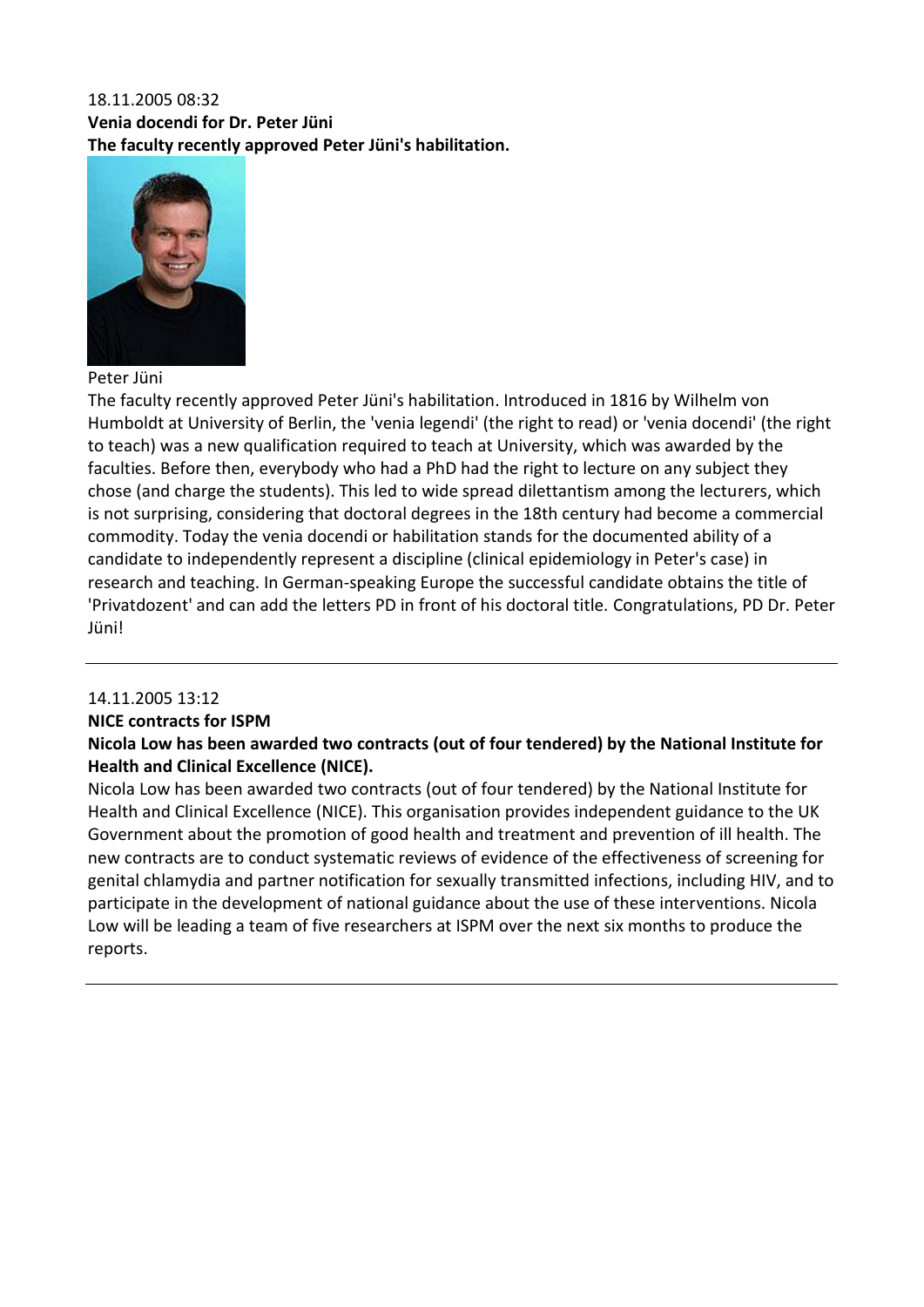# 18.11.2005 08:32 **Venia docendi for Dr. Peter Jüni The faculty recently approved Peter Jüni's habilitation.**



Peter Jüni

The faculty recently approved Peter Jüni's habilitation. Introduced in 1816 by Wilhelm von Humboldt at University of Berlin, the 'venia legendi' (the right to read) or 'venia docendi' (the right to teach) was a new qualification required to teach at University, which was awarded by the faculties. Before then, everybody who had a PhD had the right to lecture on any subject they chose (and charge the students). This led to wide spread dilettantism among the lecturers, which is not surprising, considering that doctoral degrees in the 18th century had become a commercial commodity. Today the venia docendi or habilitation stands for the documented ability of a candidate to independently represent a discipline (clinical epidemiology in Peter's case) in research and teaching. In German-speaking Europe the successful candidate obtains the title of 'Privatdozent' and can add the letters PD in front of his doctoral title. Congratulations, PD Dr. Peter Jüni!

# 14.11.2005 13:12

#### **NICE contracts for ISPM**

## **Nicola Low has been awarded two contracts (out of four tendered) by the National Institute for Health and Clinical Excellence (NICE).**

Nicola Low has been awarded two contracts (out of four tendered) by the National Institute for Health and Clinical Excellence (NICE). This organisation provides independent guidance to the UK Government about the promotion of good health and treatment and prevention of ill health. The new contracts are to conduct systematic reviews of evidence of the effectiveness of screening for genital chlamydia and partner notification for sexually transmitted infections, including HIV, and to participate in the development of national guidance about the use of these interventions. Nicola Low will be leading a team of five researchers at ISPM over the next six months to produce the reports.